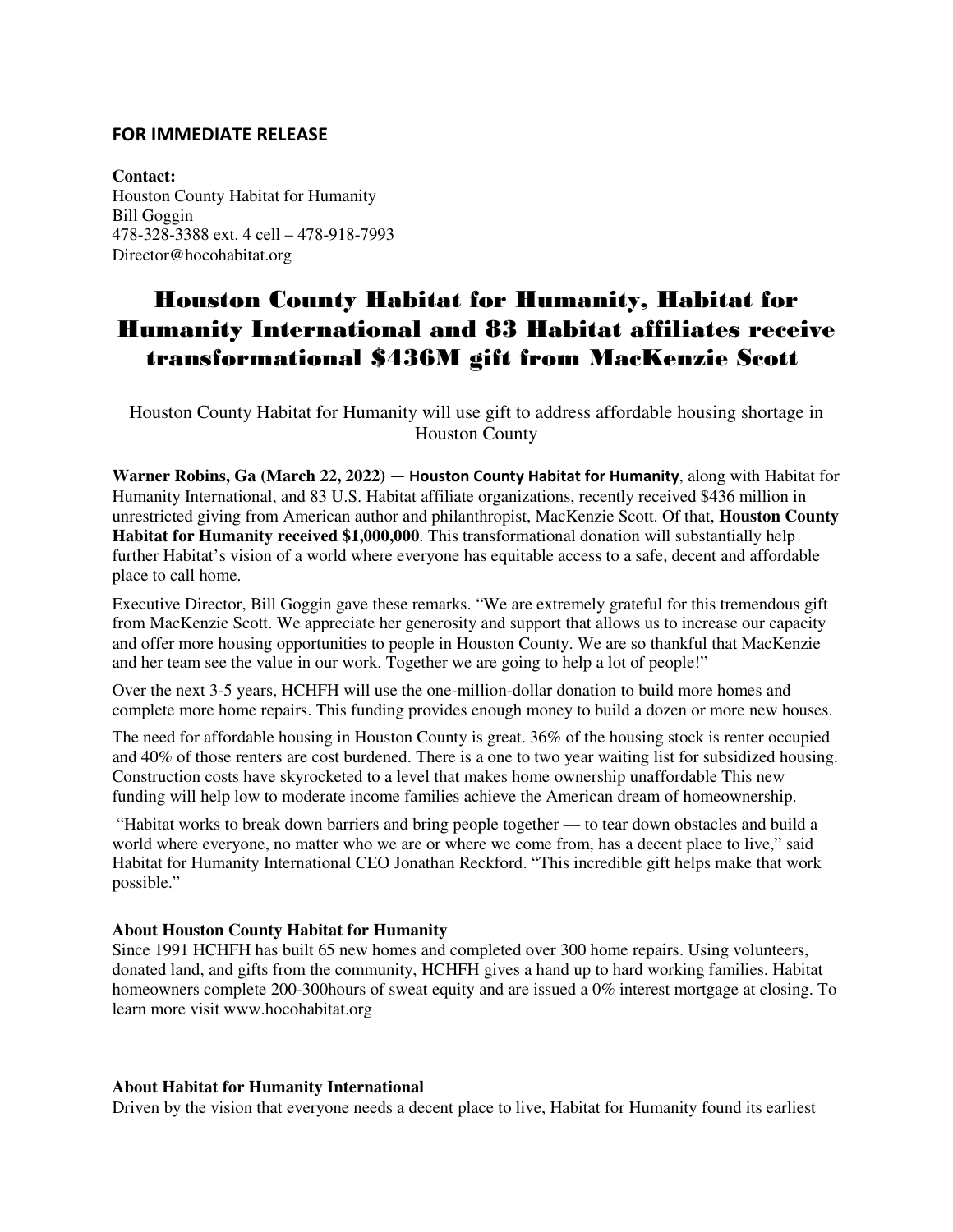## **FOR IMMEDIATE RELEASE**

**Contact:** Houston County Habitat for Humanity Bill Goggin 478-328-3388 ext. 4 cell – 478-918-7993 Director@hocohabitat.org

## Houston County Habitat for Humanity, Habitat for Humanity International and 83 Habitat affiliates receive transformational \$436M gift from MacKenzie Scott

Houston County Habitat for Humanity will use gift to address affordable housing shortage in Houston County

**Warner Robins, Ga (March 22, 2022)** — **Houston County Habitat for Humanity**, along with Habitat for Humanity International, and 83 U.S. Habitat affiliate organizations, recently received \$436 million in unrestricted giving from American author and philanthropist, MacKenzie Scott. Of that, **Houston County Habitat for Humanity received \$1,000,000**. This transformational donation will substantially help further Habitat's vision of a world where everyone has equitable access to a safe, decent and affordable place to call home.

Executive Director, Bill Goggin gave these remarks. "We are extremely grateful for this tremendous gift from MacKenzie Scott. We appreciate her generosity and support that allows us to increase our capacity and offer more housing opportunities to people in Houston County. We are so thankful that MacKenzie and her team see the value in our work. Together we are going to help a lot of people!"

Over the next 3-5 years, HCHFH will use the one-million-dollar donation to build more homes and complete more home repairs. This funding provides enough money to build a dozen or more new houses.

The need for affordable housing in Houston County is great. 36% of the housing stock is renter occupied and 40% of those renters are cost burdened. There is a one to two year waiting list for subsidized housing. Construction costs have skyrocketed to a level that makes home ownership unaffordable This new funding will help low to moderate income families achieve the American dream of homeownership.

 "Habitat works to break down barriers and bring people together — to tear down obstacles and build a world where everyone, no matter who we are or where we come from, has a decent place to live," said Habitat for Humanity International CEO Jonathan Reckford. "This incredible gift helps make that work possible."

## **About Houston County Habitat for Humanity**

Since 1991 HCHFH has built 65 new homes and completed over 300 home repairs. Using volunteers, donated land, and gifts from the community, HCHFH gives a hand up to hard working families. Habitat homeowners complete 200-300hours of sweat equity and are issued a 0% interest mortgage at closing. To learn more visit www.hocohabitat.org

## **About Habitat for Humanity International**

Driven by the vision that everyone needs a decent place to live, Habitat for Humanity found its earliest